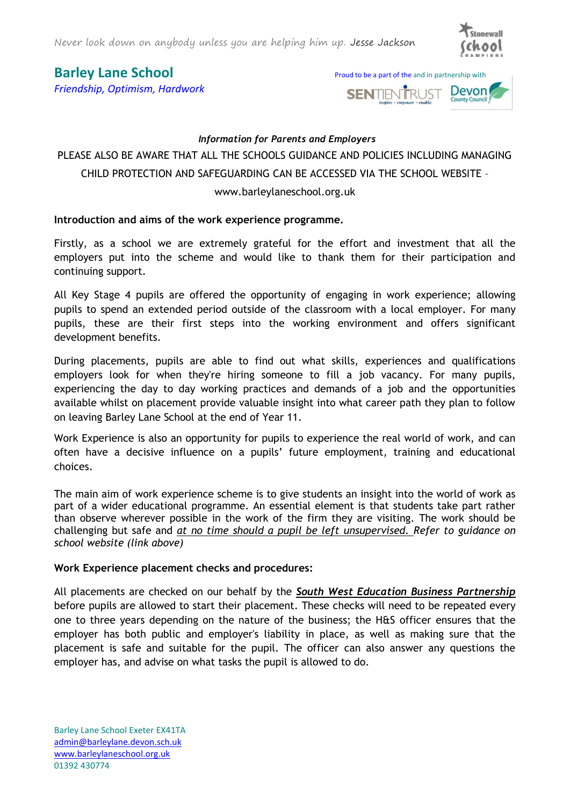Never look down on anybody unless you are helping him up. Jesse Jackson



*Friendship, Optimism, Hardwork*





## *Information for Parents and Employers*

# PLEASE ALSO BE AWARE THAT ALL THE SCHOOLS GUIDANCE AND POLICIES INCLUDING MANAGING CHILD PROTECTION AND SAFEGUARDING CAN BE ACCESSED VIA THE SCHOOL WEBSITE –

www.barleylaneschool.org.uk

# **Introduction and aims of the work experience programme.**

Firstly, as a school we are extremely grateful for the effort and investment that all the employers put into the scheme and would like to thank them for their participation and continuing support.

All Key Stage 4 pupils are offered the opportunity of engaging in work experience; allowing pupils to spend an extended period outside of the classroom with a local employer. For many pupils, these are their first steps into the working environment and offers significant development benefits.

During placements, pupils are able to find out what skills, experiences and qualifications employers look for when they're hiring someone to fill a job vacancy. For many pupils, experiencing the day to day working practices and demands of a job and the opportunities available whilst on placement provide valuable insight into what career path they plan to follow on leaving Barley Lane School at the end of Year 11.

Work Experience is also an opportunity for pupils to experience the real world of work, and can often have a decisive influence on a pupils' future employment, training and educational choices.

The main aim of work experience scheme is to give students an insight into the world of work as part of a wider educational programme. An essential element is that students take part rather than observe wherever possible in the work of the firm they are visiting. The work should be challenging but safe and *at no time should a pupil be left unsupervised. Refer to guidance on school website (link above)*

# **Work Experience placement checks and procedures:**

All placements are checked on our behalf by the *South West Education Business Partnership* before pupils are allowed to start their placement. These checks will need to be repeated every one to three years depending on the nature of the business; the H&S officer ensures that the employer has both public and employer's liability in place, as well as making sure that the placement is safe and suitable for the pupil. The officer can also answer any questions the employer has, and advise on what tasks the pupil is allowed to do.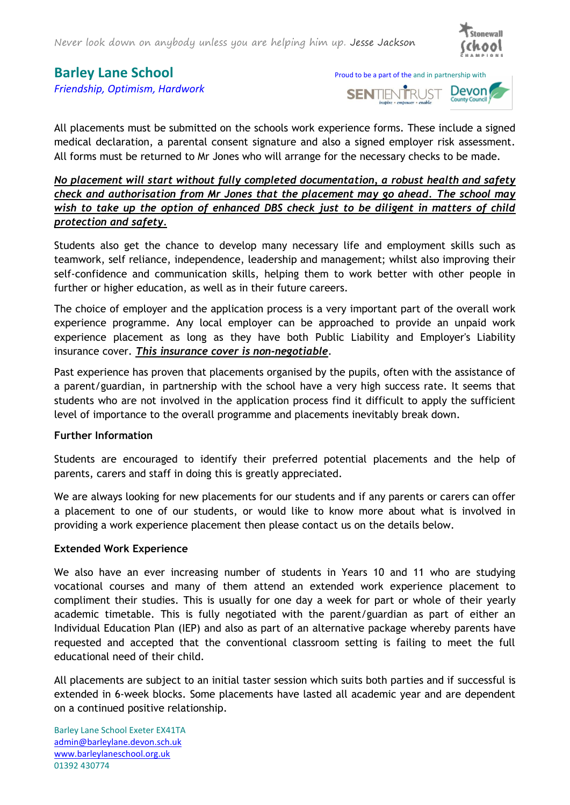

*Friendship, Optimism, Hardwork*





All placements must be submitted on the schools work experience forms. These include a signed medical declaration, a parental consent signature and also a signed employer risk assessment. All forms must be returned to Mr Jones who will arrange for the necessary checks to be made.

*No placement will start without fully completed documentation, a robust health and safety check and authorisation from Mr Jones that the placement may go ahead. The school may wish to take up the option of enhanced DBS check just to be diligent in matters of child protection and safety.* 

Students also get the chance to develop many necessary life and employment skills such as teamwork, self reliance, independence, leadership and management; whilst also improving their self-confidence and communication skills, helping them to work better with other people in further or higher education, as well as in their future careers.

The choice of employer and the application process is a very important part of the overall work experience programme. Any local employer can be approached to provide an unpaid work experience placement as long as they have both Public Liability and Employer's Liability insurance cover. *This insurance cover is non-negotiable*.

Past experience has proven that placements organised by the pupils, often with the assistance of a parent/guardian, in partnership with the school have a very high success rate. It seems that students who are not involved in the application process find it difficult to apply the sufficient level of importance to the overall programme and placements inevitably break down.

## **Further Information**

Students are encouraged to identify their preferred potential placements and the help of parents, carers and staff in doing this is greatly appreciated.

We are always looking for new placements for our students and if any parents or carers can offer a placement to one of our students, or would like to know more about what is involved in providing a work experience placement then please contact us on the details below.

## **Extended Work Experience**

We also have an ever increasing number of students in Years 10 and 11 who are studying vocational courses and many of them attend an extended work experience placement to compliment their studies. This is usually for one day a week for part or whole of their yearly academic timetable. This is fully negotiated with the parent/guardian as part of either an Individual Education Plan (IEP) and also as part of an alternative package whereby parents have requested and accepted that the conventional classroom setting is failing to meet the full educational need of their child.

All placements are subject to an initial taster session which suits both parties and if successful is extended in 6-week blocks. Some placements have lasted all academic year and are dependent on a continued positive relationship.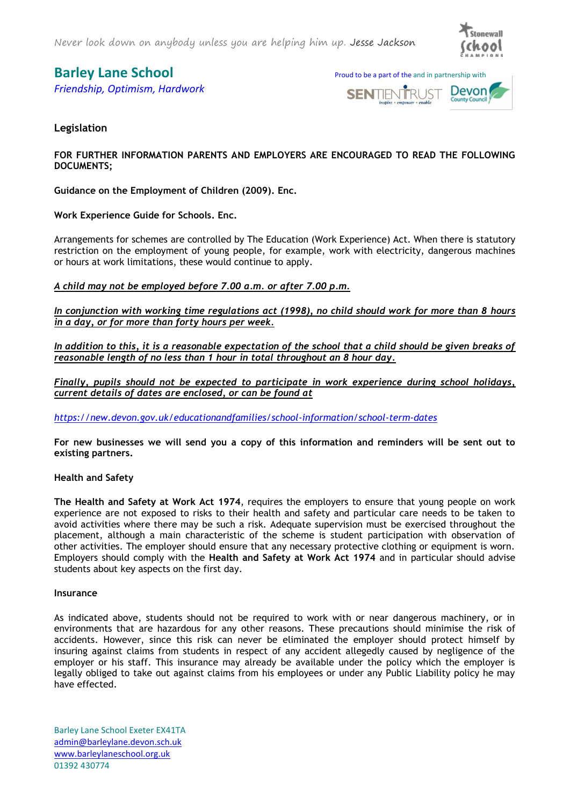Never look down on anybody unless you are helping him up. Jesse Jackson



*Friendship, Optimism, Hardwork*





## **Legislation**

**FOR FURTHER INFORMATION PARENTS AND EMPLOYERS ARE ENCOURAGED TO READ THE FOLLOWING DOCUMENTS;**

**Guidance on the Employment of Children (2009). Enc.**

**Work Experience Guide for Schools. Enc.**

Arrangements for schemes are controlled by The Education (Work Experience) Act. When there is statutory restriction on the employment of young people, for example, work with electricity, dangerous machines or hours at work limitations, these would continue to apply.

*A child may not be employed before 7.00 a.m. or after 7.00 p.m.*

*In conjunction with working time regulations act (1998), no child should work for more than 8 hours in a day, or for more than forty hours per week.* 

*In addition to this, it is a reasonable expectation of the school that a child should be given breaks of reasonable length of no less than 1 hour in total throughout an 8 hour day.*

*Finally, pupils should not be expected to participate in work experience during school holidays, current details of dates are enclosed, or can be found at*

*<https://new.devon.gov.uk/educationandfamilies/school-information/school-term-dates>*

**For new businesses we will send you a copy of this information and reminders will be sent out to existing partners.** 

### **Health and Safety**

**The Health and Safety at Work Act 1974**, requires the employers to ensure that young people on work experience are not exposed to risks to their health and safety and particular care needs to be taken to avoid activities where there may be such a risk. Adequate supervision must be exercised throughout the placement, although a main characteristic of the scheme is student participation with observation of other activities. The employer should ensure that any necessary protective clothing or equipment is worn. Employers should comply with the **Health and Safety at Work Act 1974** and in particular should advise students about key aspects on the first day.

#### **Insurance**

As indicated above, students should not be required to work with or near dangerous machinery, or in environments that are hazardous for any other reasons. These precautions should minimise the risk of accidents. However, since this risk can never be eliminated the employer should protect himself by insuring against claims from students in respect of any accident allegedly caused by negligence of the employer or his staff. This insurance may already be available under the policy which the employer is legally obliged to take out against claims from his employees or under any Public Liability policy he may have effected.

Barley Lane School Exeter EX41TA [admin@barleylane.devon.sch.uk](mailto:admin@barleylane.devon.sch.uk)  [www.barleylaneschool.org.uk](http://www.barleylaneschool.org.uk/) 01392 430774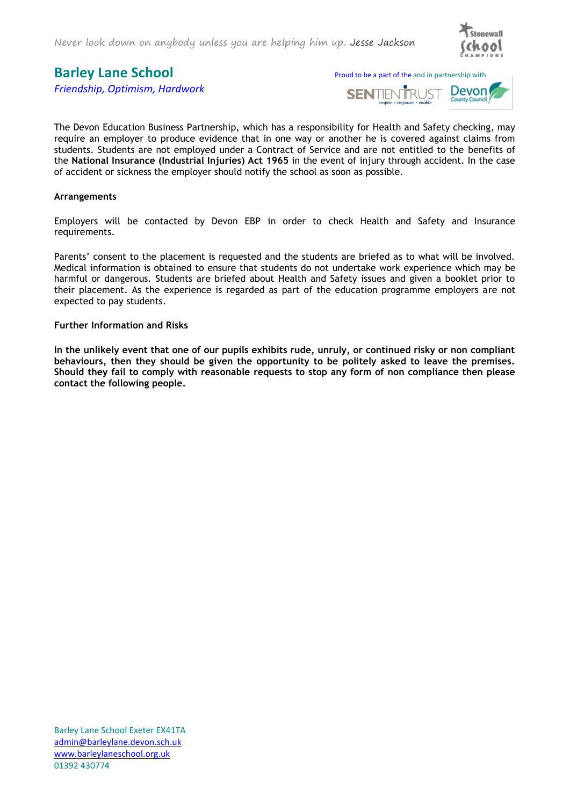

*Friendship, Optimism, Hardwork*

**Barley Lane School** Proud to be a part of the and in partnership with



The Devon Education Business Partnership, which has a responsibility for Health and Safety checking, may require an employer to produce evidence that in one way or another he is covered against claims from students. Students are not employed under a Contract of Service and are not entitled to the benefits of the **National Insurance (Industrial Injuries) Act 1965** in the event of injury through accident. In the case of accident or sickness the employer should notify the school as soon as possible.

#### **Arrangements**

Employers will be contacted by Devon EBP in order to check Health and Safety and Insurance requirements.

Parents' consent to the placement is requested and the students are briefed as to what will be involved. Medical information is obtained to ensure that students do not undertake work experience which may be harmful or dangerous. Students are briefed about Health and Safety issues and given a booklet prior to their placement. As the experience is regarded as part of the education programme employers are not expected to pay students.

#### **Further Information and Risks**

**In the unlikely event that one of our pupils exhibits rude, unruly, or continued risky or non compliant behaviours, then they should be given the opportunity to be politely asked to leave the premises. Should they fail to comply with reasonable requests to stop any form of non compliance then please contact the following people.**